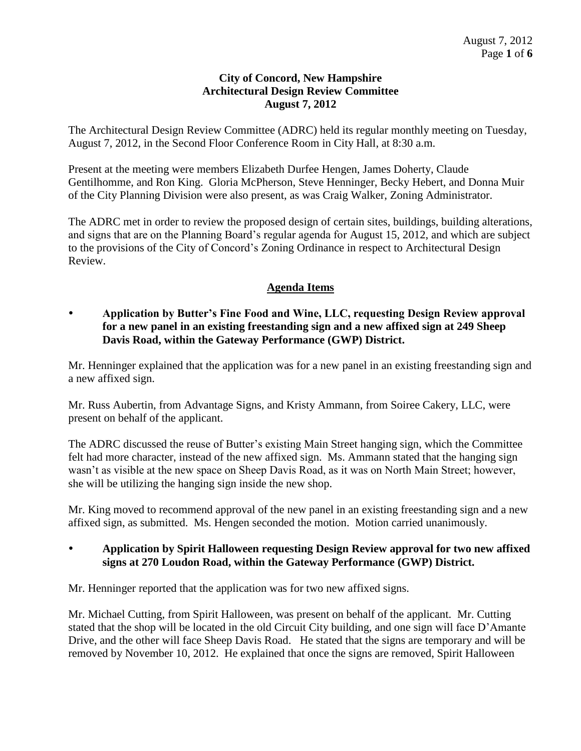#### **City of Concord, New Hampshire Architectural Design Review Committee August 7, 2012**

The Architectural Design Review Committee (ADRC) held its regular monthly meeting on Tuesday, August 7, 2012, in the Second Floor Conference Room in City Hall, at 8:30 a.m.

Present at the meeting were members Elizabeth Durfee Hengen, James Doherty, Claude Gentilhomme, and Ron King. Gloria McPherson, Steve Henninger, Becky Hebert, and Donna Muir of the City Planning Division were also present, as was Craig Walker, Zoning Administrator.

The ADRC met in order to review the proposed design of certain sites, buildings, building alterations, and signs that are on the Planning Board's regular agenda for August 15, 2012, and which are subject to the provisions of the City of Concord's Zoning Ordinance in respect to Architectural Design Review.

# **Agenda Items**

 **Application by Butter's Fine Food and Wine, LLC, requesting Design Review approval for a new panel in an existing freestanding sign and a new affixed sign at 249 Sheep Davis Road, within the Gateway Performance (GWP) District.** 

Mr. Henninger explained that the application was for a new panel in an existing freestanding sign and a new affixed sign.

Mr. Russ Aubertin, from Advantage Signs, and Kristy Ammann, from Soiree Cakery, LLC, were present on behalf of the applicant.

The ADRC discussed the reuse of Butter's existing Main Street hanging sign, which the Committee felt had more character, instead of the new affixed sign. Ms. Ammann stated that the hanging sign wasn't as visible at the new space on Sheep Davis Road, as it was on North Main Street; however, she will be utilizing the hanging sign inside the new shop.

Mr. King moved to recommend approval of the new panel in an existing freestanding sign and a new affixed sign, as submitted. Ms. Hengen seconded the motion. Motion carried unanimously.

 **Application by Spirit Halloween requesting Design Review approval for two new affixed signs at 270 Loudon Road, within the Gateway Performance (GWP) District.** 

Mr. Henninger reported that the application was for two new affixed signs.

Mr. Michael Cutting, from Spirit Halloween, was present on behalf of the applicant. Mr. Cutting stated that the shop will be located in the old Circuit City building, and one sign will face D'Amante Drive, and the other will face Sheep Davis Road. He stated that the signs are temporary and will be removed by November 10, 2012. He explained that once the signs are removed, Spirit Halloween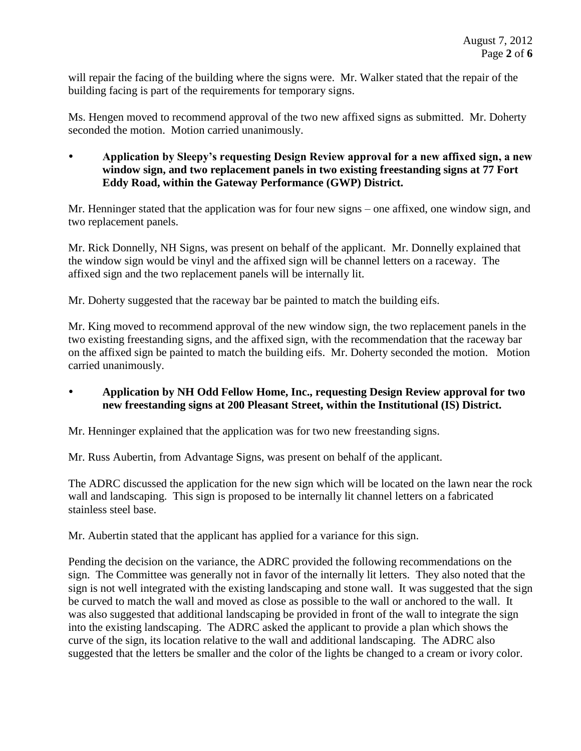will repair the facing of the building where the signs were. Mr. Walker stated that the repair of the building facing is part of the requirements for temporary signs.

Ms. Hengen moved to recommend approval of the two new affixed signs as submitted. Mr. Doherty seconded the motion. Motion carried unanimously.

 **Application by Sleepy's requesting Design Review approval for a new affixed sign, a new window sign, and two replacement panels in two existing freestanding signs at 77 Fort Eddy Road, within the Gateway Performance (GWP) District.** 

Mr. Henninger stated that the application was for four new signs – one affixed, one window sign, and two replacement panels.

Mr. Rick Donnelly, NH Signs, was present on behalf of the applicant. Mr. Donnelly explained that the window sign would be vinyl and the affixed sign will be channel letters on a raceway. The affixed sign and the two replacement panels will be internally lit.

Mr. Doherty suggested that the raceway bar be painted to match the building eifs.

Mr. King moved to recommend approval of the new window sign, the two replacement panels in the two existing freestanding signs, and the affixed sign, with the recommendation that the raceway bar on the affixed sign be painted to match the building eifs. Mr. Doherty seconded the motion. Motion carried unanimously.

 **Application by NH Odd Fellow Home, Inc., requesting Design Review approval for two new freestanding signs at 200 Pleasant Street, within the Institutional (IS) District.** 

Mr. Henninger explained that the application was for two new freestanding signs.

Mr. Russ Aubertin, from Advantage Signs, was present on behalf of the applicant.

The ADRC discussed the application for the new sign which will be located on the lawn near the rock wall and landscaping. This sign is proposed to be internally lit channel letters on a fabricated stainless steel base.

Mr. Aubertin stated that the applicant has applied for a variance for this sign.

Pending the decision on the variance, the ADRC provided the following recommendations on the sign. The Committee was generally not in favor of the internally lit letters. They also noted that the sign is not well integrated with the existing landscaping and stone wall. It was suggested that the sign be curved to match the wall and moved as close as possible to the wall or anchored to the wall. It was also suggested that additional landscaping be provided in front of the wall to integrate the sign into the existing landscaping. The ADRC asked the applicant to provide a plan which shows the curve of the sign, its location relative to the wall and additional landscaping. The ADRC also suggested that the letters be smaller and the color of the lights be changed to a cream or ivory color.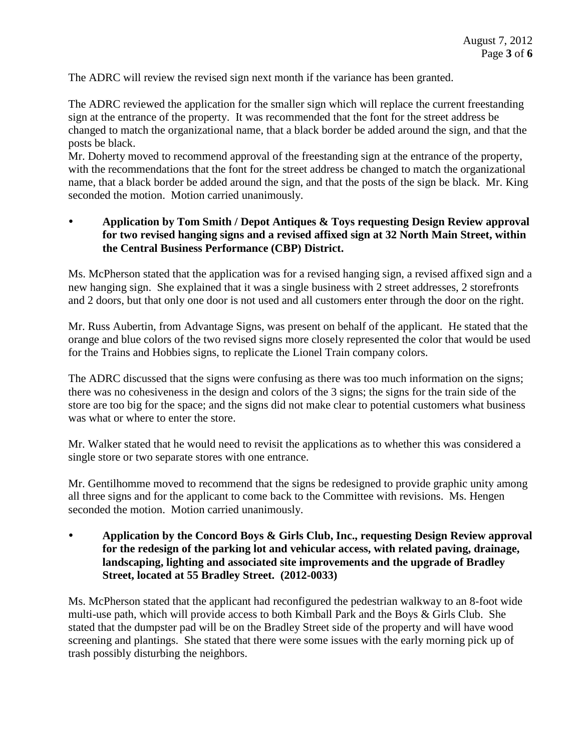The ADRC will review the revised sign next month if the variance has been granted.

The ADRC reviewed the application for the smaller sign which will replace the current freestanding sign at the entrance of the property. It was recommended that the font for the street address be changed to match the organizational name, that a black border be added around the sign, and that the posts be black.

Mr. Doherty moved to recommend approval of the freestanding sign at the entrance of the property, with the recommendations that the font for the street address be changed to match the organizational name, that a black border be added around the sign, and that the posts of the sign be black. Mr. King seconded the motion. Motion carried unanimously.

## **Application by Tom Smith / Depot Antiques & Toys requesting Design Review approval for two revised hanging signs and a revised affixed sign at 32 North Main Street, within the Central Business Performance (CBP) District.**

Ms. McPherson stated that the application was for a revised hanging sign, a revised affixed sign and a new hanging sign. She explained that it was a single business with 2 street addresses, 2 storefronts and 2 doors, but that only one door is not used and all customers enter through the door on the right.

Mr. Russ Aubertin, from Advantage Signs, was present on behalf of the applicant. He stated that the orange and blue colors of the two revised signs more closely represented the color that would be used for the Trains and Hobbies signs, to replicate the Lionel Train company colors.

The ADRC discussed that the signs were confusing as there was too much information on the signs; there was no cohesiveness in the design and colors of the 3 signs; the signs for the train side of the store are too big for the space; and the signs did not make clear to potential customers what business was what or where to enter the store.

Mr. Walker stated that he would need to revisit the applications as to whether this was considered a single store or two separate stores with one entrance.

Mr. Gentilhomme moved to recommend that the signs be redesigned to provide graphic unity among all three signs and for the applicant to come back to the Committee with revisions. Ms. Hengen seconded the motion. Motion carried unanimously.

 **Application by the Concord Boys & Girls Club, Inc., requesting Design Review approval for the redesign of the parking lot and vehicular access, with related paving, drainage, landscaping, lighting and associated site improvements and the upgrade of Bradley Street, located at 55 Bradley Street. (2012-0033)** 

Ms. McPherson stated that the applicant had reconfigured the pedestrian walkway to an 8-foot wide multi-use path, which will provide access to both Kimball Park and the Boys & Girls Club. She stated that the dumpster pad will be on the Bradley Street side of the property and will have wood screening and plantings. She stated that there were some issues with the early morning pick up of trash possibly disturbing the neighbors.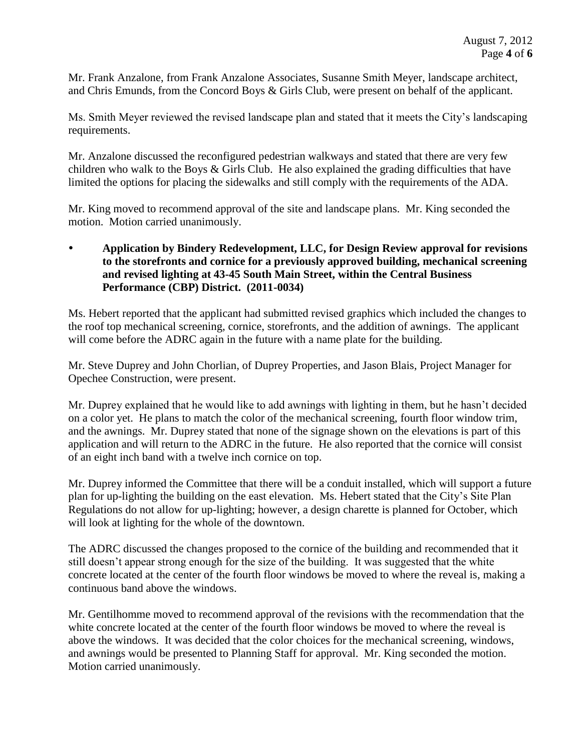Mr. Frank Anzalone, from Frank Anzalone Associates, Susanne Smith Meyer, landscape architect, and Chris Emunds, from the Concord Boys & Girls Club, were present on behalf of the applicant.

Ms. Smith Meyer reviewed the revised landscape plan and stated that it meets the City's landscaping requirements.

Mr. Anzalone discussed the reconfigured pedestrian walkways and stated that there are very few children who walk to the Boys & Girls Club. He also explained the grading difficulties that have limited the options for placing the sidewalks and still comply with the requirements of the ADA.

Mr. King moved to recommend approval of the site and landscape plans. Mr. King seconded the motion. Motion carried unanimously.

 **Application by Bindery Redevelopment, LLC, for Design Review approval for revisions to the storefronts and cornice for a previously approved building, mechanical screening and revised lighting at 43-45 South Main Street, within the Central Business Performance (CBP) District. (2011-0034)**

Ms. Hebert reported that the applicant had submitted revised graphics which included the changes to the roof top mechanical screening, cornice, storefronts, and the addition of awnings. The applicant will come before the ADRC again in the future with a name plate for the building.

Mr. Steve Duprey and John Chorlian, of Duprey Properties, and Jason Blais, Project Manager for Opechee Construction, were present.

Mr. Duprey explained that he would like to add awnings with lighting in them, but he hasn't decided on a color yet. He plans to match the color of the mechanical screening, fourth floor window trim, and the awnings. Mr. Duprey stated that none of the signage shown on the elevations is part of this application and will return to the ADRC in the future. He also reported that the cornice will consist of an eight inch band with a twelve inch cornice on top.

Mr. Duprey informed the Committee that there will be a conduit installed, which will support a future plan for up-lighting the building on the east elevation. Ms. Hebert stated that the City's Site Plan Regulations do not allow for up-lighting; however, a design charette is planned for October, which will look at lighting for the whole of the downtown.

The ADRC discussed the changes proposed to the cornice of the building and recommended that it still doesn't appear strong enough for the size of the building. It was suggested that the white concrete located at the center of the fourth floor windows be moved to where the reveal is, making a continuous band above the windows.

Mr. Gentilhomme moved to recommend approval of the revisions with the recommendation that the white concrete located at the center of the fourth floor windows be moved to where the reveal is above the windows. It was decided that the color choices for the mechanical screening, windows, and awnings would be presented to Planning Staff for approval. Mr. King seconded the motion. Motion carried unanimously.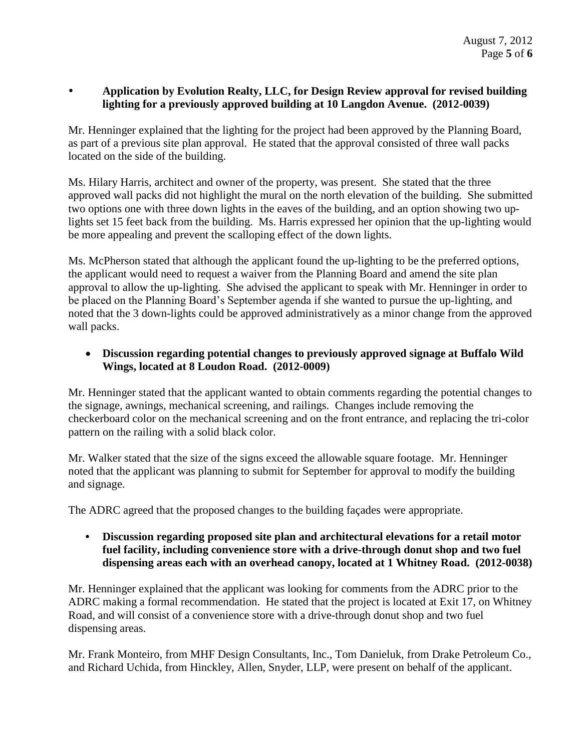## **Application by Evolution Realty, LLC, for Design Review approval for revised building lighting for a previously approved building at 10 Langdon Avenue. (2012-0039)**

Mr. Henninger explained that the lighting for the project had been approved by the Planning Board, as part of a previous site plan approval. He stated that the approval consisted of three wall packs located on the side of the building.

Ms. Hilary Harris, architect and owner of the property, was present. She stated that the three approved wall packs did not highlight the mural on the north elevation of the building. She submitted two options one with three down lights in the eaves of the building, and an option showing two uplights set 15 feet back from the building. Ms. Harris expressed her opinion that the up-lighting would be more appealing and prevent the scalloping effect of the down lights.

Ms. McPherson stated that although the applicant found the up-lighting to be the preferred options, the applicant would need to request a waiver from the Planning Board and amend the site plan approval to allow the up-lighting. She advised the applicant to speak with Mr. Henninger in order to be placed on the Planning Board's September agenda if she wanted to pursue the up-lighting, and noted that the 3 down-lights could be approved administratively as a minor change from the approved wall packs.

## **Discussion regarding potential changes to previously approved signage at Buffalo Wild Wings, located at 8 Loudon Road. (2012-0009)**

Mr. Henninger stated that the applicant wanted to obtain comments regarding the potential changes to the signage, awnings, mechanical screening, and railings. Changes include removing the checkerboard color on the mechanical screening and on the front entrance, and replacing the tri-color pattern on the railing with a solid black color.

Mr. Walker stated that the size of the signs exceed the allowable square footage. Mr. Henninger noted that the applicant was planning to submit for September for approval to modify the building and signage.

The ADRC agreed that the proposed changes to the building façades were appropriate.

**• Discussion regarding proposed site plan and architectural elevations for a retail motor fuel facility, including convenience store with a drive-through donut shop and two fuel dispensing areas each with an overhead canopy, located at 1 Whitney Road. (2012-0038)**

Mr. Henninger explained that the applicant was looking for comments from the ADRC prior to the ADRC making a formal recommendation. He stated that the project is located at Exit 17, on Whitney Road, and will consist of a convenience store with a drive-through donut shop and two fuel dispensing areas.

Mr. Frank Monteiro, from MHF Design Consultants, Inc., Tom Danieluk, from Drake Petroleum Co., and Richard Uchida, from Hinckley, Allen, Snyder, LLP, were present on behalf of the applicant.